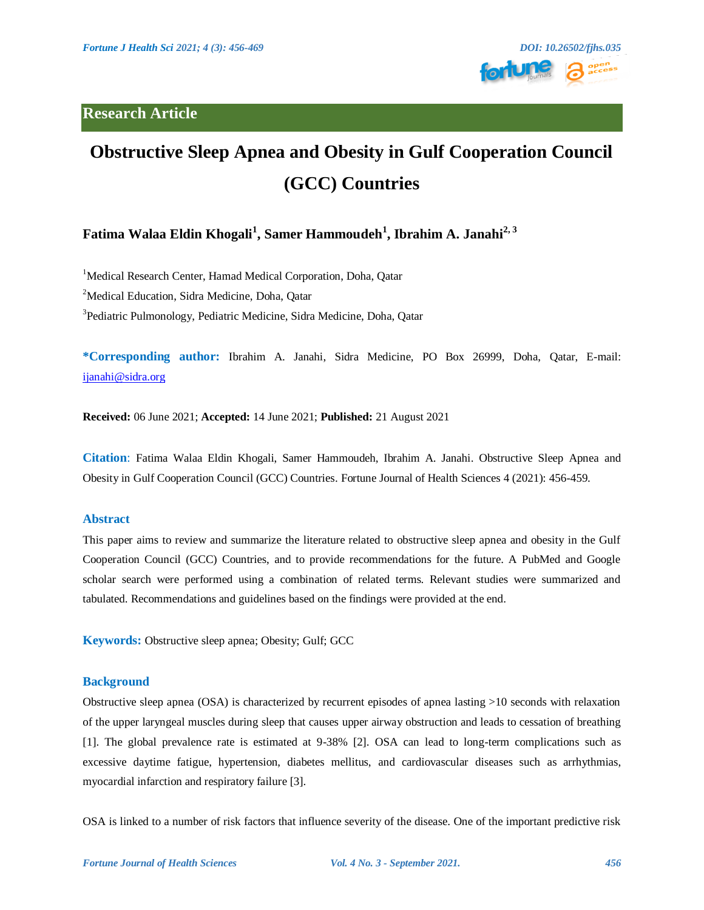**Research Article**



# **Obstructive Sleep Apnea and Obesity in Gulf Cooperation Council (GCC) Countries**

# **Fatima Walaa Eldin Khogali<sup>1</sup> , Samer Hammoudeh<sup>1</sup> , Ibrahim A. Janahi2, 3**

<sup>1</sup>Medical Research Center, Hamad Medical Corporation, Doha, Qatar <sup>2</sup>Medical Education, Sidra Medicine, Doha, Qatar 3 Pediatric Pulmonology, Pediatric Medicine, Sidra Medicine, Doha, Qatar

**\*Corresponding author:** Ibrahim A. Janahi, Sidra Medicine, PO Box 26999, Doha, Qatar, E-mail: [ijanahi@](mailto:s3hammoudeh@gmail.com)sidra.org

**Received:** 06 June 2021; **Accepted:** 14 June 2021; **Published:** 21 August 2021

**Citation**: Fatima Walaa Eldin Khogali, Samer Hammoudeh, Ibrahim A. Janahi. Obstructive Sleep Apnea and Obesity in Gulf Cooperation Council (GCC) Countries. Fortune Journal of Health Sciences 4 (2021): 456-459.

### **Abstract**

This paper aims to review and summarize the literature related to obstructive sleep apnea and obesity in the Gulf Cooperation Council (GCC) Countries, and to provide recommendations for the future. A PubMed and Google scholar search were performed using a combination of related terms. Relevant studies were summarized and tabulated. Recommendations and guidelines based on the findings were provided at the end.

**Keywords:** Obstructive sleep apnea; Obesity; Gulf; GCC

#### **Background**

Obstructive sleep apnea (OSA) is characterized by recurrent episodes of apnea lasting >10 seconds with relaxation of the upper laryngeal muscles during sleep that causes upper airway obstruction and leads to cessation of breathing [1]. The global prevalence rate is estimated at 9-38% [2]. OSA can lead to long-term complications such as excessive daytime fatigue, hypertension, diabetes mellitus, and cardiovascular diseases such as arrhythmias, myocardial infarction and respiratory failure [3].

OSA is linked to a number of risk factors that influence severity of the disease. One of the important predictive risk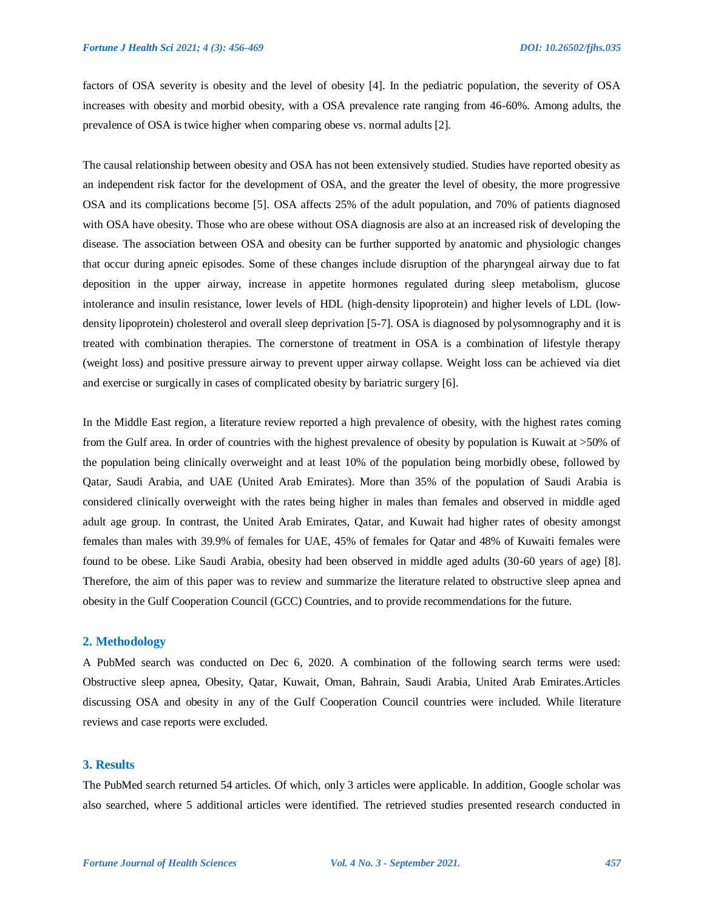factors of OSA severity is obesity and the level of obesity [4]. In the pediatric population, the severity of OSA increases with obesity and morbid obesity, with a OSA prevalence rate ranging from 46-60%. Among adults, the prevalence of OSA is twice higher when comparing obese vs. normal adults [2].

The causal relationship between obesity and OSA has not been extensively studied. Studies have reported obesity as an independent risk factor for the development of OSA, and the greater the level of obesity, the more progressive OSA and its complications become [5]. OSA affects 25% of the adult population, and 70% of patients diagnosed with OSA have obesity. Those who are obese without OSA diagnosis are also at an increased risk of developing the disease. The association between OSA and obesity can be further supported by anatomic and physiologic changes that occur during apneic episodes. Some of these changes include disruption of the pharyngeal airway due to fat deposition in the upper airway, increase in appetite hormones regulated during sleep metabolism, glucose intolerance and insulin resistance, lower levels of HDL (high-density lipoprotein) and higher levels of LDL (lowdensity lipoprotein) cholesterol and overall sleep deprivation [5-7]. OSA is diagnosed by polysomnography and it is treated with combination therapies. The cornerstone of treatment in OSA is a combination of lifestyle therapy (weight loss) and positive pressure airway to prevent upper airway collapse. Weight loss can be achieved via diet and exercise or surgically in cases of complicated obesity by bariatric surgery [6].

In the Middle East region, a literature review reported a high prevalence of obesity, with the highest rates coming from the Gulf area. In order of countries with the highest prevalence of obesity by population is Kuwait at >50% of the population being clinically overweight and at least 10% of the population being morbidly obese, followed by Qatar, Saudi Arabia, and UAE (United Arab Emirates). More than 35% of the population of Saudi Arabia is considered clinically overweight with the rates being higher in males than females and observed in middle aged adult age group. In contrast, the United Arab Emirates, Qatar, and Kuwait had higher rates of obesity amongst females than males with 39.9% of females for UAE, 45% of females for Qatar and 48% of Kuwaiti females were found to be obese. Like Saudi Arabia, obesity had been observed in middle aged adults (30-60 years of age) [8]. Therefore, the aim of this paper was to review and summarize the literature related to obstructive sleep apnea and obesity in the Gulf Cooperation Council (GCC) Countries, and to provide recommendations for the future.

#### **2. Methodology**

A PubMed search was conducted on Dec 6, 2020. A combination of the following search terms were used: Obstructive sleep apnea, Obesity, Qatar, Kuwait, Oman, Bahrain, Saudi Arabia, United Arab Emirates.Articles discussing OSA and obesity in any of the Gulf Cooperation Council countries were included. While literature reviews and case reports were excluded.

#### **3. Results**

The PubMed search returned 54 articles. Of which, only 3 articles were applicable. In addition, Google scholar was also searched, where 5 additional articles were identified. The retrieved studies presented research conducted in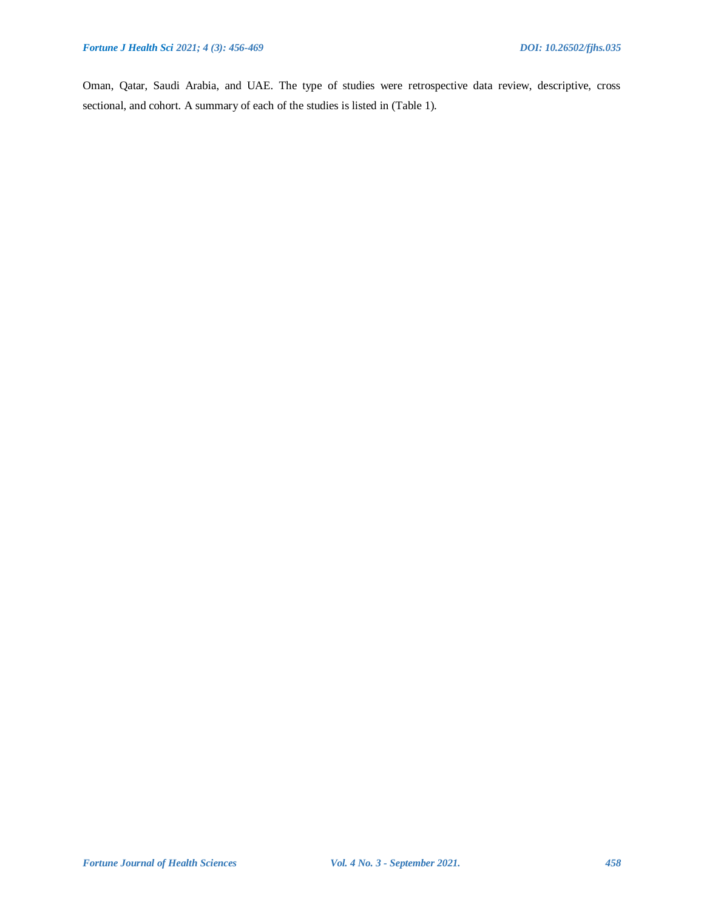Oman, Qatar, Saudi Arabia, and UAE. The type of studies were retrospective data review, descriptive, cross sectional, and cohort. A summary of each of the studies is listed in (Table 1).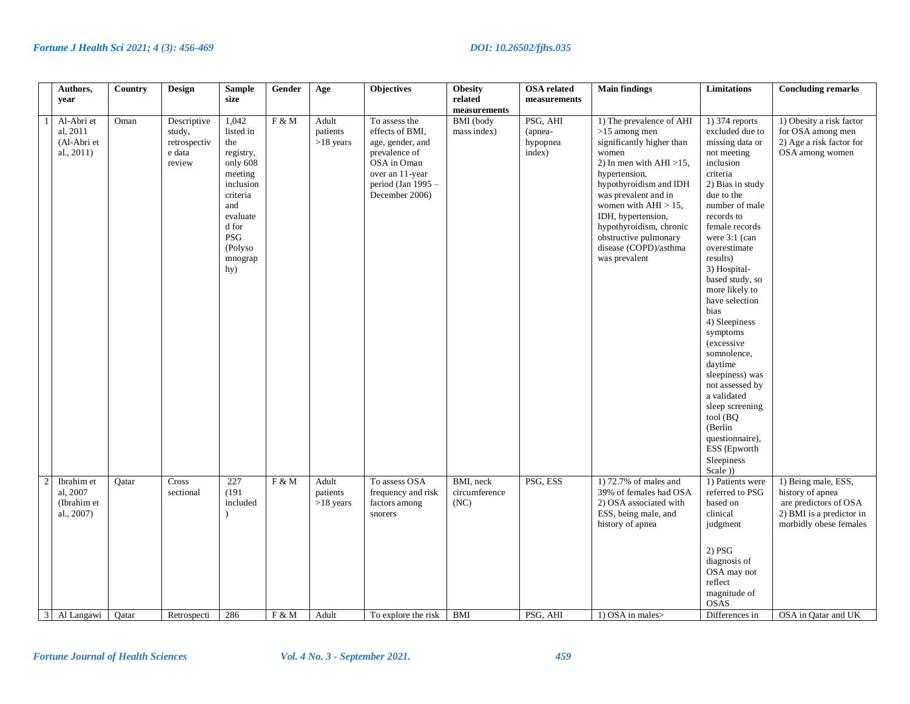|                | Authors,     | Country | <b>Design</b>    | <b>Sample</b>         | Gender | Age         | <b>Objectives</b>                | <b>Obesity</b>   | <b>OSA</b> related | <b>Main findings</b>                         | <b>Limitations</b>              | <b>Concluding remarks</b> |
|----------------|--------------|---------|------------------|-----------------------|--------|-------------|----------------------------------|------------------|--------------------|----------------------------------------------|---------------------------------|---------------------------|
|                | year         |         |                  | size                  |        |             |                                  | related          | measurements       |                                              |                                 |                           |
|                |              |         |                  |                       |        |             |                                  | measurements     |                    |                                              |                                 |                           |
|                | Al-Abri et   | Oman    | Descriptive      | 1,042<br>listed in    | F & M  | Adult       | To assess the<br>effects of BMI, | <b>BMI</b> (body | PSG, AHI           | 1) The prevalence of AHI                     | 1) 374 reports                  | 1) Obesity a risk factor  |
|                | al, 2011     |         | study,           |                       |        | patients    |                                  | mass index)      | (apnea-            | $>15$ among men                              | excluded due to                 | for OSA among men         |
|                | (Al-Abri et  |         | retrospectiv     | the                   |        | $>18$ years | age, gender, and                 |                  | hypopnea           | significantly higher than                    | missing data or                 | 2) Age a risk factor for  |
|                | al., 2011)   |         | e data<br>review | registry,<br>only 608 |        |             | prevalence of<br>OSA in Oman     |                  | index)             | women                                        | not meeting<br>inclusion        | OSA among women           |
|                |              |         |                  |                       |        |             | over an 11-year                  |                  |                    | 2) In men with $AHI > 15$ ,<br>hypertension, | criteria                        |                           |
|                |              |         |                  | meeting<br>inclusion  |        |             | period (Jan 1995 -               |                  |                    | hypothyroidism and IDH                       | 2) Bias in study                |                           |
|                |              |         |                  | criteria              |        |             | December 2006)                   |                  |                    | was prevalent and in                         | due to the                      |                           |
|                |              |         |                  | and                   |        |             |                                  |                  |                    | women with $AHI > 15$ ,                      | number of male                  |                           |
|                |              |         |                  | evaluate              |        |             |                                  |                  |                    | IDH, hypertension,                           | records to                      |                           |
|                |              |         |                  | d for                 |        |             |                                  |                  |                    | hypothyroidism, chronic                      | female records                  |                           |
|                |              |         |                  | PSG                   |        |             |                                  |                  |                    | obstructive pulmonary                        | were 3:1 (can                   |                           |
|                |              |         |                  | (Polyso               |        |             |                                  |                  |                    | disease (COPD)/asthma                        | overestimate                    |                           |
|                |              |         |                  | mnograp               |        |             |                                  |                  |                    | was prevalent                                | results)                        |                           |
|                |              |         |                  | hy)                   |        |             |                                  |                  |                    |                                              | 3) Hospital-                    |                           |
|                |              |         |                  |                       |        |             |                                  |                  |                    |                                              | based study, so                 |                           |
|                |              |         |                  |                       |        |             |                                  |                  |                    |                                              | more likely to                  |                           |
|                |              |         |                  |                       |        |             |                                  |                  |                    |                                              | have selection                  |                           |
|                |              |         |                  |                       |        |             |                                  |                  |                    |                                              | bias                            |                           |
|                |              |         |                  |                       |        |             |                                  |                  |                    |                                              | 4) Sleepiness                   |                           |
|                |              |         |                  |                       |        |             |                                  |                  |                    |                                              | symptoms                        |                           |
|                |              |         |                  |                       |        |             |                                  |                  |                    |                                              | (excessive                      |                           |
|                |              |         |                  |                       |        |             |                                  |                  |                    |                                              | somnolence,                     |                           |
|                |              |         |                  |                       |        |             |                                  |                  |                    |                                              | daytime                         |                           |
|                |              |         |                  |                       |        |             |                                  |                  |                    |                                              | sleepiness) was                 |                           |
|                |              |         |                  |                       |        |             |                                  |                  |                    |                                              | not assessed by                 |                           |
|                |              |         |                  |                       |        |             |                                  |                  |                    |                                              | a validated                     |                           |
|                |              |         |                  |                       |        |             |                                  |                  |                    |                                              | sleep screening                 |                           |
|                |              |         |                  |                       |        |             |                                  |                  |                    |                                              | tool (BQ)                       |                           |
|                |              |         |                  |                       |        |             |                                  |                  |                    |                                              | (Berlin                         |                           |
|                |              |         |                  |                       |        |             |                                  |                  |                    |                                              | questionnaire),<br>ESS (Epworth |                           |
|                |              |         |                  |                       |        |             |                                  |                  |                    |                                              | Sleepiness                      |                           |
|                |              |         |                  |                       |        |             |                                  |                  |                    |                                              | Scale))                         |                           |
| $\overline{2}$ | Ibrahim et   | Qatar   | Cross            | 227                   | F & M  | Adult       | To assess OSA                    | BMI, neck        | PSG, ESS           | 1) $72.7\%$ of males and                     | 1) Patients were                | 1) Being male, ESS,       |
|                | al, 2007     |         | sectional        | (191)                 |        | patients    | frequency and risk               | circumference    |                    | 39% of females had OSA                       | referred to PSG                 | history of apnea          |
|                | (Ibrahim et  |         |                  | included              |        | $>18$ years | factors among                    | (NC)             |                    | 2) OSA associated with                       | based on                        | are predictors of OSA     |
|                | al., 2007)   |         |                  |                       |        |             | snorers                          |                  |                    | ESS, being male, and                         | clinical                        | 2) BMI is a predictor in  |
|                |              |         |                  |                       |        |             |                                  |                  |                    | history of apnea                             | judgment                        | morbidly obese females    |
|                |              |         |                  |                       |        |             |                                  |                  |                    |                                              |                                 |                           |
|                |              |         |                  |                       |        |             |                                  |                  |                    |                                              |                                 |                           |
|                |              |         |                  |                       |        |             |                                  |                  |                    |                                              | 2) PSG                          |                           |
|                |              |         |                  |                       |        |             |                                  |                  |                    |                                              | diagnosis of                    |                           |
|                |              |         |                  |                       |        |             |                                  |                  |                    |                                              | OSA may not                     |                           |
|                |              |         |                  |                       |        |             |                                  |                  |                    |                                              | reflect                         |                           |
|                |              |         |                  |                       |        |             |                                  |                  |                    |                                              | magnitude of<br><b>OSAS</b>     |                           |
|                | 3 Al Langawi | Qatar   | Retrospecti      | 286                   | F & M  | Adult       | To explore the risk              | BMI              | PSG, AHI           | 1) OSA in males>                             | Differences in                  | OSA in Oatar and UK       |
|                |              |         |                  |                       |        |             |                                  |                  |                    |                                              |                                 |                           |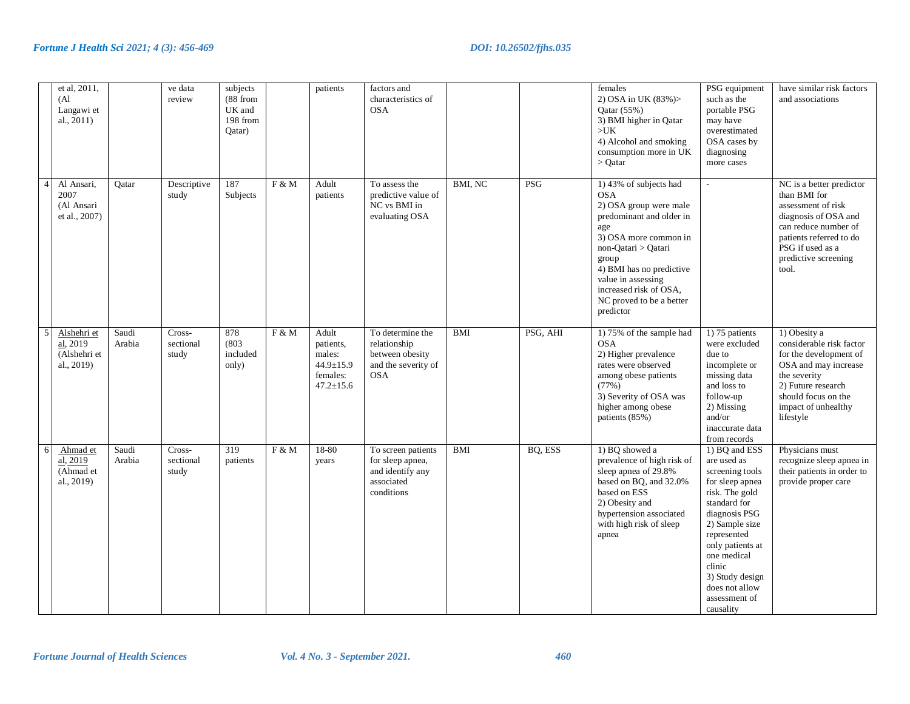|                | et al, 2011,<br>(A <sup>1</sup> )<br>Langawi et<br>al., 2011)       |                 | ve data<br>review            | subjects<br>(88 from<br>UK and<br>198 from<br>Qatar) |       | patients                                                                 | factors and<br>characteristics of<br><b>OSA</b>                                          |            |          | females<br>2) OSA in UK (83%)><br>Qatar $(55%)$<br>3) BMI higher in Qatar<br>$>$ UK<br>4) Alcohol and smoking<br>consumption more in UK<br>$>$ Oatar                                                                                                                            | PSG equipment<br>such as the<br>portable PSG<br>may have<br>overestimated<br>OSA cases by<br>diagnosing<br>more cases                                                                                                                                                  | have similar risk factors<br>and associations                                                                                                                                                  |
|----------------|---------------------------------------------------------------------|-----------------|------------------------------|------------------------------------------------------|-------|--------------------------------------------------------------------------|------------------------------------------------------------------------------------------|------------|----------|---------------------------------------------------------------------------------------------------------------------------------------------------------------------------------------------------------------------------------------------------------------------------------|------------------------------------------------------------------------------------------------------------------------------------------------------------------------------------------------------------------------------------------------------------------------|------------------------------------------------------------------------------------------------------------------------------------------------------------------------------------------------|
| $\overline{4}$ | Al Ansari,<br>2007<br>(Al Ansari<br>et al., 2007)                   | Qatar           | Descriptive<br>study         | 187<br>Subjects                                      | F & M | Adult<br>patients                                                        | To assess the<br>predictive value of<br>NC vs BMI in<br>evaluating OSA                   | BMI, NC    | PSG      | 1) 43% of subjects had<br><b>OSA</b><br>2) OSA group were male<br>predominant and older in<br>age<br>3) OSA more common in<br>non-Qatari > Qatari<br>group<br>4) BMI has no predictive<br>value in assessing<br>increased risk of OSA,<br>NC proved to be a better<br>predictor | $\overline{a}$                                                                                                                                                                                                                                                         | NC is a better predictor<br>than BMI for<br>assessment of risk<br>diagnosis of OSA and<br>can reduce number of<br>patients referred to do<br>PSG if used as a<br>predictive screening<br>tool. |
| $\overline{5}$ | Alshehri et<br>$\overline{al}$ , 2019<br>(Alshehri et<br>al., 2019) | Saudi<br>Arabia | Cross-<br>sectional<br>study | 878<br>(803)<br>included<br>only)                    | F & M | Adult<br>patients,<br>males:<br>44.9±15.9<br>females:<br>$47.2 \pm 15.6$ | To determine the<br>relationship<br>between obesity<br>and the severity of<br><b>OSA</b> | <b>BMI</b> | PSG, AHI | 1) 75% of the sample had<br><b>OSA</b><br>2) Higher prevalence<br>rates were observed<br>among obese patients<br>(77%)<br>3) Severity of OSA was<br>higher among obese<br>patients (85%)                                                                                        | 1) 75 patients<br>were excluded<br>due to<br>incomplete or<br>missing data<br>and loss to<br>follow-up<br>2) Missing<br>and/or<br>inaccurate data<br>from records                                                                                                      | 1) Obesity a<br>considerable risk factor<br>for the development of<br>OSA and may increase<br>the severity<br>2) Future research<br>should focus on the<br>impact of unhealthy<br>lifestyle    |
| $\sqrt{6}$     | Ahmad et<br>al, 2019<br>(Ahmad et<br>al., 2019)                     | Saudi<br>Arabia | Cross-<br>sectional<br>study | 319<br>patients                                      | F & M | $18 - 80$<br>years                                                       | To screen patients<br>for sleep apnea,<br>and identify any<br>associated<br>conditions   | BMI        | BQ, ESS  | 1) BO showed a<br>prevalence of high risk of<br>sleep apnea of 29.8%<br>based on BQ, and 32.0%<br>based on ESS<br>2) Obesity and<br>hypertension associated<br>with high risk of sleep<br>apnea                                                                                 | 1) BQ and ESS<br>are used as<br>screening tools<br>for sleep apnea<br>risk. The gold<br>standard for<br>diagnosis PSG<br>2) Sample size<br>represented<br>only patients at<br>one medical<br>clinic<br>3) Study design<br>does not allow<br>assessment of<br>causality | Physicians must<br>recognize sleep apnea in<br>their patients in order to<br>provide proper care                                                                                               |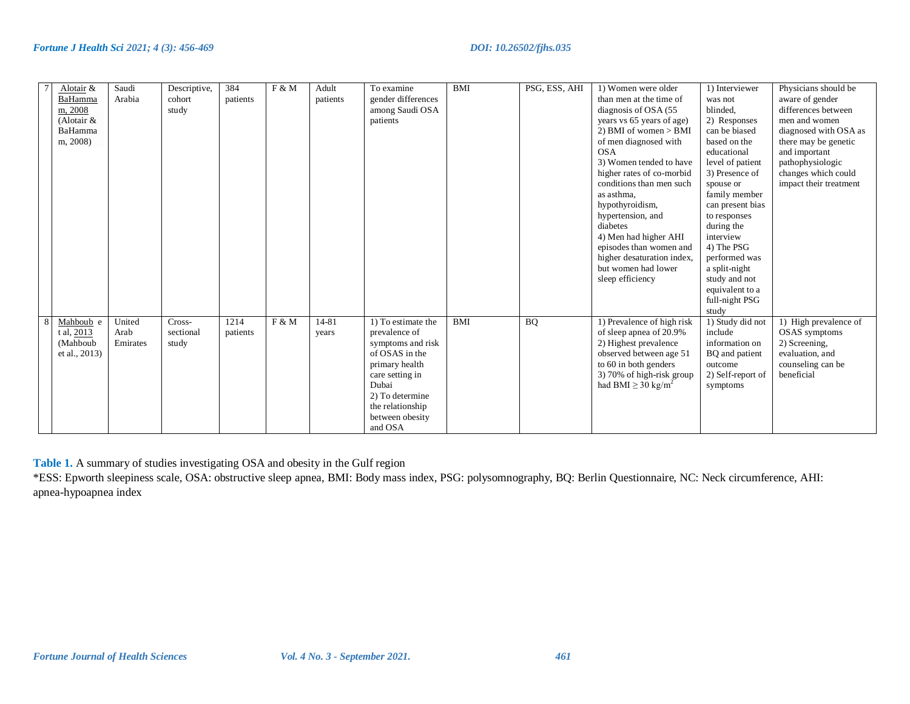| Alotair &<br>BaHamma<br>m, 2008<br>(Alotair $&$<br>BaHamma<br>m, 2008) | Saudi<br>Arabia            | Descriptive,<br>cohort<br>study | 384<br>patients  | F & M | Adult<br>patients  | To examine<br>gender differences<br>among Saudi OSA<br>patients                                                                                                                               | <b>BMI</b> | PSG, ESS, AHI | 1) Women were older<br>than men at the time of<br>diagnosis of OSA (55)<br>years vs 65 years of age)<br>2) BMI of women $>$ BMI<br>of men diagnosed with<br><b>OSA</b><br>3) Women tended to have<br>higher rates of co-morbid<br>conditions than men such<br>as asthma,<br>hypothyroidism,<br>hypertension, and<br>diabetes<br>4) Men had higher AHI<br>episodes than women and<br>higher desaturation index,<br>but women had lower<br>sleep efficiency | 1) Interviewer<br>was not<br>blinded.<br>2) Responses<br>can be biased<br>based on the<br>educational<br>level of patient<br>3) Presence of<br>spouse or<br>family member<br>can present bias<br>to responses<br>during the<br>interview<br>4) The PSG<br>performed was<br>a split-night<br>study and not<br>equivalent to a<br>full-night PSG<br>study | Physicians should be<br>aware of gender<br>differences between<br>men and women<br>diagnosed with OSA as<br>there may be genetic<br>and important<br>pathophysiologic<br>changes which could<br>impact their treatment |
|------------------------------------------------------------------------|----------------------------|---------------------------------|------------------|-------|--------------------|-----------------------------------------------------------------------------------------------------------------------------------------------------------------------------------------------|------------|---------------|-----------------------------------------------------------------------------------------------------------------------------------------------------------------------------------------------------------------------------------------------------------------------------------------------------------------------------------------------------------------------------------------------------------------------------------------------------------|---------------------------------------------------------------------------------------------------------------------------------------------------------------------------------------------------------------------------------------------------------------------------------------------------------------------------------------------------------|------------------------------------------------------------------------------------------------------------------------------------------------------------------------------------------------------------------------|
| Mahboub e<br>t al, 2013<br>(Mahboub<br>et al., 2013)                   | United<br>Arab<br>Emirates | Cross-<br>sectional<br>study    | 1214<br>patients | F & M | $14 - 81$<br>years | 1) To estimate the<br>prevalence of<br>symptoms and risk<br>of OSAS in the<br>primary health<br>care setting in<br>Dubai<br>2) To determine<br>the relationship<br>between obesity<br>and OSA | <b>BMI</b> | BQ            | 1) Prevalence of high risk<br>of sleep apnea of 20.9%<br>2) Highest prevalence<br>observed between age 51<br>to 60 in both genders<br>3) 70% of high-risk group<br>had BMI $\geq$ 30 kg/m <sup>2</sup>                                                                                                                                                                                                                                                    | 1) Study did not<br>include<br>information on<br>BQ and patient<br>outcome<br>2) Self-report of<br>symptoms                                                                                                                                                                                                                                             | 1) High prevalence of<br>OSAS symptoms<br>2) Screening,<br>evaluation, and<br>counseling can be<br>beneficial                                                                                                          |

**Table 1.** A summary of studies investigating OSA and obesity in the Gulf region

\*ESS: Epworth sleepiness scale, OSA: obstructive sleep apnea, BMI: Body mass index, PSG: polysomnography, BQ: Berlin Questionnaire, NC: Neck circumference, AHI: apnea-hypoapnea index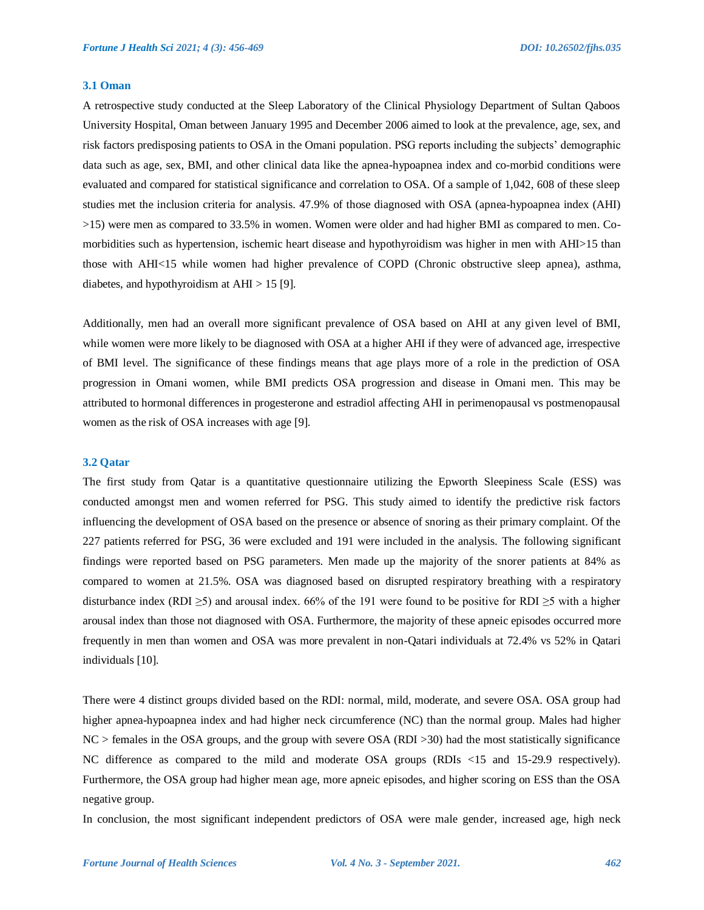#### **3.1 Oman**

A retrospective study conducted at the Sleep Laboratory of the Clinical Physiology Department of Sultan Qaboos University Hospital, Oman between January 1995 and December 2006 aimed to look at the prevalence, age, sex, and risk factors predisposing patients to OSA in the Omani population. PSG reports including the subjects' demographic data such as age, sex, BMI, and other clinical data like the apnea-hypoapnea index and co-morbid conditions were evaluated and compared for statistical significance and correlation to OSA. Of a sample of 1,042, 608 of these sleep studies met the inclusion criteria for analysis. 47.9% of those diagnosed with OSA (apnea-hypoapnea index (AHI) >15) were men as compared to 33.5% in women. Women were older and had higher BMI as compared to men. Comorbidities such as hypertension, ischemic heart disease and hypothyroidism was higher in men with AHI>15 than those with AHI<15 while women had higher prevalence of COPD (Chronic obstructive sleep apnea), asthma, diabetes, and hypothyroidism at AHI > 15 [9].

Additionally, men had an overall more significant prevalence of OSA based on AHI at any given level of BMI, while women were more likely to be diagnosed with OSA at a higher AHI if they were of advanced age, irrespective of BMI level. The significance of these findings means that age plays more of a role in the prediction of OSA progression in Omani women, while BMI predicts OSA progression and disease in Omani men. This may be attributed to hormonal differences in progesterone and estradiol affecting AHI in perimenopausal vs postmenopausal women as the risk of OSA increases with age [9].

#### **3.2 Qatar**

The first study from Qatar is a quantitative questionnaire utilizing the Epworth Sleepiness Scale (ESS) was conducted amongst men and women referred for PSG. This study aimed to identify the predictive risk factors influencing the development of OSA based on the presence or absence of snoring as their primary complaint. Of the 227 patients referred for PSG, 36 were excluded and 191 were included in the analysis. The following significant findings were reported based on PSG parameters. Men made up the majority of the snorer patients at 84% as compared to women at 21.5%. OSA was diagnosed based on disrupted respiratory breathing with a respiratory disturbance index (RDI  $\geq$ 5) and arousal index. 66% of the 191 were found to be positive for RDI  $\geq$ 5 with a higher arousal index than those not diagnosed with OSA. Furthermore, the majority of these apneic episodes occurred more frequently in men than women and OSA was more prevalent in non-Qatari individuals at 72.4% vs 52% in Qatari individuals [10].

There were 4 distinct groups divided based on the RDI: normal, mild, moderate, and severe OSA. OSA group had higher apnea-hypoapnea index and had higher neck circumference (NC) than the normal group. Males had higher NC > females in the OSA groups, and the group with severe OSA (RDI >30) had the most statistically significance NC difference as compared to the mild and moderate OSA groups (RDIs <15 and 15-29.9 respectively). Furthermore, the OSA group had higher mean age, more apneic episodes, and higher scoring on ESS than the OSA negative group.

In conclusion, the most significant independent predictors of OSA were male gender, increased age, high neck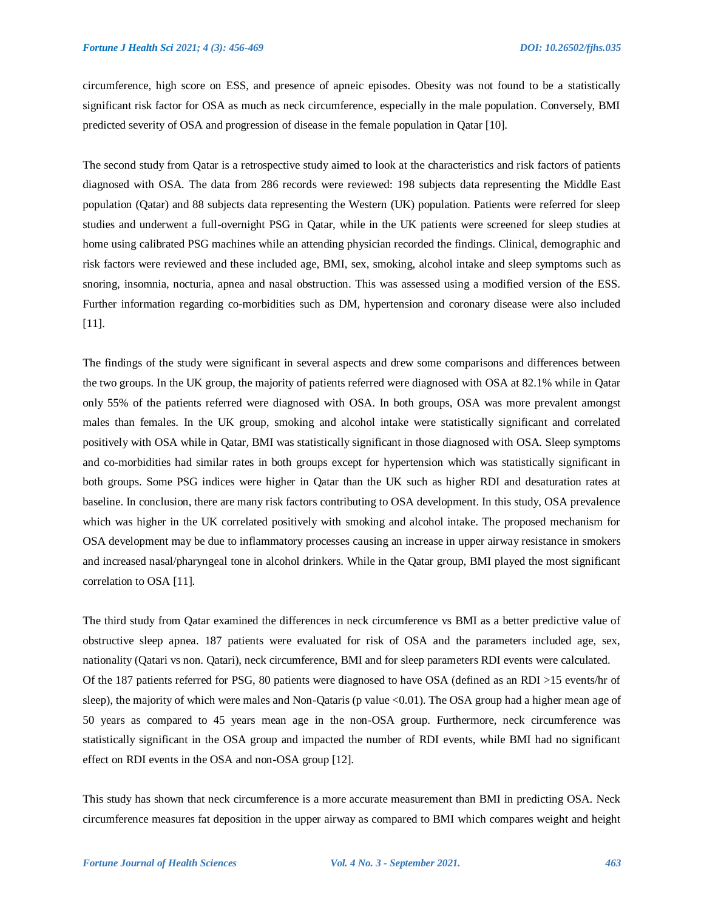circumference, high score on ESS, and presence of apneic episodes. Obesity was not found to be a statistically significant risk factor for OSA as much as neck circumference, especially in the male population. Conversely, BMI predicted severity of OSA and progression of disease in the female population in Qatar [10].

The second study from Qatar is a retrospective study aimed to look at the characteristics and risk factors of patients diagnosed with OSA. The data from 286 records were reviewed: 198 subjects data representing the Middle East population (Qatar) and 88 subjects data representing the Western (UK) population. Patients were referred for sleep studies and underwent a full-overnight PSG in Qatar, while in the UK patients were screened for sleep studies at home using calibrated PSG machines while an attending physician recorded the findings. Clinical, demographic and risk factors were reviewed and these included age, BMI, sex, smoking, alcohol intake and sleep symptoms such as snoring, insomnia, nocturia, apnea and nasal obstruction. This was assessed using a modified version of the ESS. Further information regarding co-morbidities such as DM, hypertension and coronary disease were also included [11].

The findings of the study were significant in several aspects and drew some comparisons and differences between the two groups. In the UK group, the majority of patients referred were diagnosed with OSA at 82.1% while in Qatar only 55% of the patients referred were diagnosed with OSA. In both groups, OSA was more prevalent amongst males than females. In the UK group, smoking and alcohol intake were statistically significant and correlated positively with OSA while in Qatar, BMI was statistically significant in those diagnosed with OSA. Sleep symptoms and co-morbidities had similar rates in both groups except for hypertension which was statistically significant in both groups. Some PSG indices were higher in Qatar than the UK such as higher RDI and desaturation rates at baseline. In conclusion, there are many risk factors contributing to OSA development. In this study, OSA prevalence which was higher in the UK correlated positively with smoking and alcohol intake. The proposed mechanism for OSA development may be due to inflammatory processes causing an increase in upper airway resistance in smokers and increased nasal/pharyngeal tone in alcohol drinkers. While in the Qatar group, BMI played the most significant correlation to OSA [11].

The third study from Qatar examined the differences in neck circumference vs BMI as a better predictive value of obstructive sleep apnea. 187 patients were evaluated for risk of OSA and the parameters included age, sex, nationality (Qatari vs non. Qatari), neck circumference, BMI and for sleep parameters RDI events were calculated. Of the 187 patients referred for PSG, 80 patients were diagnosed to have OSA (defined as an RDI >15 events/hr of sleep), the majority of which were males and Non-Qataris (p value <0.01). The OSA group had a higher mean age of 50 years as compared to 45 years mean age in the non-OSA group. Furthermore, neck circumference was statistically significant in the OSA group and impacted the number of RDI events, while BMI had no significant effect on RDI events in the OSA and non-OSA group [12].

This study has shown that neck circumference is a more accurate measurement than BMI in predicting OSA. Neck circumference measures fat deposition in the upper airway as compared to BMI which compares weight and height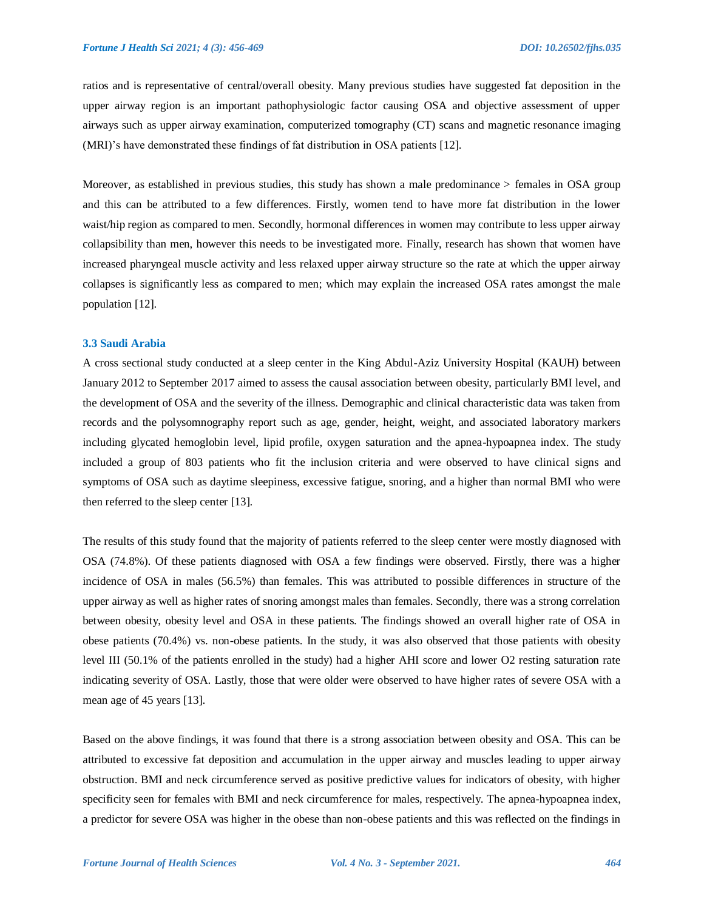ratios and is representative of central/overall obesity. Many previous studies have suggested fat deposition in the upper airway region is an important pathophysiologic factor causing OSA and objective assessment of upper airways such as upper airway examination, computerized tomography (CT) scans and magnetic resonance imaging (MRI)'s have demonstrated these findings of fat distribution in OSA patients [12].

Moreover, as established in previous studies, this study has shown a male predominance > females in OSA group and this can be attributed to a few differences. Firstly, women tend to have more fat distribution in the lower waist/hip region as compared to men. Secondly, hormonal differences in women may contribute to less upper airway collapsibility than men, however this needs to be investigated more. Finally, research has shown that women have increased pharyngeal muscle activity and less relaxed upper airway structure so the rate at which the upper airway collapses is significantly less as compared to men; which may explain the increased OSA rates amongst the male population [12].

#### **3.3 Saudi Arabia**

A cross sectional study conducted at a sleep center in the King Abdul-Aziz University Hospital (KAUH) between January 2012 to September 2017 aimed to assess the causal association between obesity, particularly BMI level, and the development of OSA and the severity of the illness. Demographic and clinical characteristic data was taken from records and the polysomnography report such as age, gender, height, weight, and associated laboratory markers including glycated hemoglobin level, lipid profile, oxygen saturation and the apnea-hypoapnea index. The study included a group of 803 patients who fit the inclusion criteria and were observed to have clinical signs and symptoms of OSA such as daytime sleepiness, excessive fatigue, snoring, and a higher than normal BMI who were then referred to the sleep center [13].

The results of this study found that the majority of patients referred to the sleep center were mostly diagnosed with OSA (74.8%). Of these patients diagnosed with OSA a few findings were observed. Firstly, there was a higher incidence of OSA in males (56.5%) than females. This was attributed to possible differences in structure of the upper airway as well as higher rates of snoring amongst males than females. Secondly, there was a strong correlation between obesity, obesity level and OSA in these patients. The findings showed an overall higher rate of OSA in obese patients (70.4%) vs. non-obese patients. In the study, it was also observed that those patients with obesity level III (50.1% of the patients enrolled in the study) had a higher AHI score and lower O2 resting saturation rate indicating severity of OSA. Lastly, those that were older were observed to have higher rates of severe OSA with a mean age of 45 years [13].

Based on the above findings, it was found that there is a strong association between obesity and OSA. This can be attributed to excessive fat deposition and accumulation in the upper airway and muscles leading to upper airway obstruction. BMI and neck circumference served as positive predictive values for indicators of obesity, with higher specificity seen for females with BMI and neck circumference for males, respectively. The apnea-hypoapnea index, a predictor for severe OSA was higher in the obese than non-obese patients and this was reflected on the findings in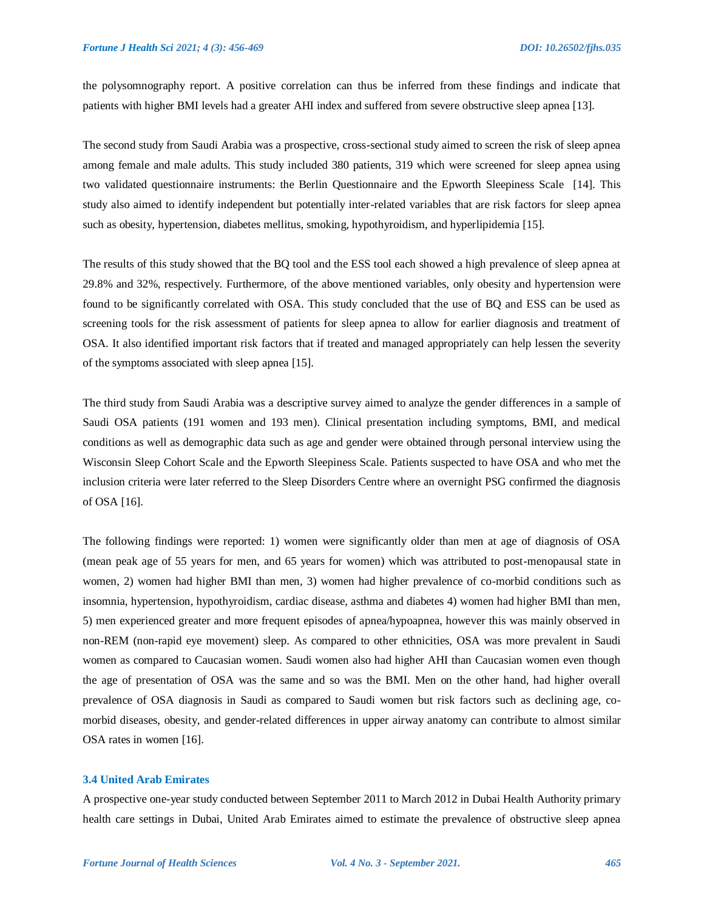the polysomnography report. A positive correlation can thus be inferred from these findings and indicate that patients with higher BMI levels had a greater AHI index and suffered from severe obstructive sleep apnea [13].

The second study from Saudi Arabia was a prospective, cross-sectional study aimed to screen the risk of sleep apnea among female and male adults. This study included 380 patients, 319 which were screened for sleep apnea using two validated questionnaire instruments: the Berlin Questionnaire and the Epworth Sleepiness Scale [14]. This study also aimed to identify independent but potentially inter-related variables that are risk factors for sleep apnea such as obesity, hypertension, diabetes mellitus, smoking, hypothyroidism, and hyperlipidemia [15].

The results of this study showed that the BQ tool and the ESS tool each showed a high prevalence of sleep apnea at 29.8% and 32%, respectively. Furthermore, of the above mentioned variables, only obesity and hypertension were found to be significantly correlated with OSA. This study concluded that the use of BQ and ESS can be used as screening tools for the risk assessment of patients for sleep apnea to allow for earlier diagnosis and treatment of OSA. It also identified important risk factors that if treated and managed appropriately can help lessen the severity of the symptoms associated with sleep apnea [15].

The third study from Saudi Arabia was a descriptive survey aimed to analyze the gender differences in a sample of Saudi OSA patients (191 women and 193 men). Clinical presentation including symptoms, BMI, and medical conditions as well as demographic data such as age and gender were obtained through personal interview using the Wisconsin Sleep Cohort Scale and the Epworth Sleepiness Scale. Patients suspected to have OSA and who met the inclusion criteria were later referred to the Sleep Disorders Centre where an overnight PSG confirmed the diagnosis of OSA [16].

The following findings were reported: 1) women were significantly older than men at age of diagnosis of OSA (mean peak age of 55 years for men, and 65 years for women) which was attributed to post-menopausal state in women, 2) women had higher BMI than men, 3) women had higher prevalence of co-morbid conditions such as insomnia, hypertension, hypothyroidism, cardiac disease, asthma and diabetes 4) women had higher BMI than men, 5) men experienced greater and more frequent episodes of apnea/hypoapnea, however this was mainly observed in non-REM (non-rapid eye movement) sleep. As compared to other ethnicities, OSA was more prevalent in Saudi women as compared to Caucasian women. Saudi women also had higher AHI than Caucasian women even though the age of presentation of OSA was the same and so was the BMI. Men on the other hand, had higher overall prevalence of OSA diagnosis in Saudi as compared to Saudi women but risk factors such as declining age, comorbid diseases, obesity, and gender-related differences in upper airway anatomy can contribute to almost similar OSA rates in women [16].

#### **3.4 United Arab Emirates**

A prospective one-year study conducted between September 2011 to March 2012 in Dubai Health Authority primary health care settings in Dubai, United Arab Emirates aimed to estimate the prevalence of obstructive sleep apnea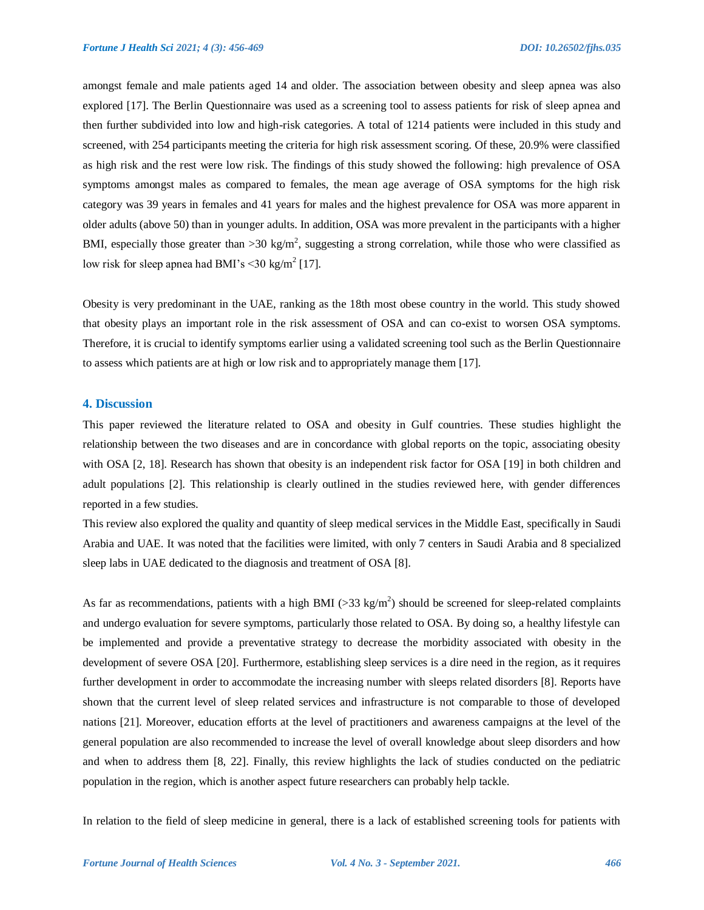amongst female and male patients aged 14 and older. The association between obesity and sleep apnea was also explored [17]. The Berlin Questionnaire was used as a screening tool to assess patients for risk of sleep apnea and then further subdivided into low and high-risk categories. A total of 1214 patients were included in this study and screened, with 254 participants meeting the criteria for high risk assessment scoring. Of these, 20.9% were classified as high risk and the rest were low risk. The findings of this study showed the following: high prevalence of OSA symptoms amongst males as compared to females, the mean age average of OSA symptoms for the high risk category was 39 years in females and 41 years for males and the highest prevalence for OSA was more apparent in older adults (above 50) than in younger adults. In addition, OSA was more prevalent in the participants with a higher BMI, especially those greater than >30 kg/m<sup>2</sup>, suggesting a strong correlation, while those who were classified as low risk for sleep apnea had BMI's  $\leq$ 30 kg/m<sup>2</sup> [17].

Obesity is very predominant in the UAE, ranking as the 18th most obese country in the world. This study showed that obesity plays an important role in the risk assessment of OSA and can co-exist to worsen OSA symptoms. Therefore, it is crucial to identify symptoms earlier using a validated screening tool such as the Berlin Questionnaire to assess which patients are at high or low risk and to appropriately manage them [17].

#### **4. Discussion**

This paper reviewed the literature related to OSA and obesity in Gulf countries. These studies highlight the relationship between the two diseases and are in concordance with global reports on the topic, associating obesity with OSA [2, 18]. Research has shown that obesity is an independent risk factor for OSA [19] in both children and adult populations [2]. This relationship is clearly outlined in the studies reviewed here, with gender differences reported in a few studies.

This review also explored the quality and quantity of sleep medical services in the Middle East, specifically in Saudi Arabia and UAE. It was noted that the facilities were limited, with only 7 centers in Saudi Arabia and 8 specialized sleep labs in UAE dedicated to the diagnosis and treatment of OSA [8].

As far as recommendations, patients with a high BMI ( $>$ 33 kg/m<sup>2</sup>) should be screened for sleep-related complaints and undergo evaluation for severe symptoms, particularly those related to OSA. By doing so, a healthy lifestyle can be implemented and provide a preventative strategy to decrease the morbidity associated with obesity in the development of severe OSA [20]. Furthermore, establishing sleep services is a dire need in the region, as it requires further development in order to accommodate the increasing number with sleeps related disorders [8]. Reports have shown that the current level of sleep related services and infrastructure is not comparable to those of developed nations [21]. Moreover, education efforts at the level of practitioners and awareness campaigns at the level of the general population are also recommended to increase the level of overall knowledge about sleep disorders and how and when to address them [8, 22]. Finally, this review highlights the lack of studies conducted on the pediatric population in the region, which is another aspect future researchers can probably help tackle.

In relation to the field of sleep medicine in general, there is a lack of established screening tools for patients with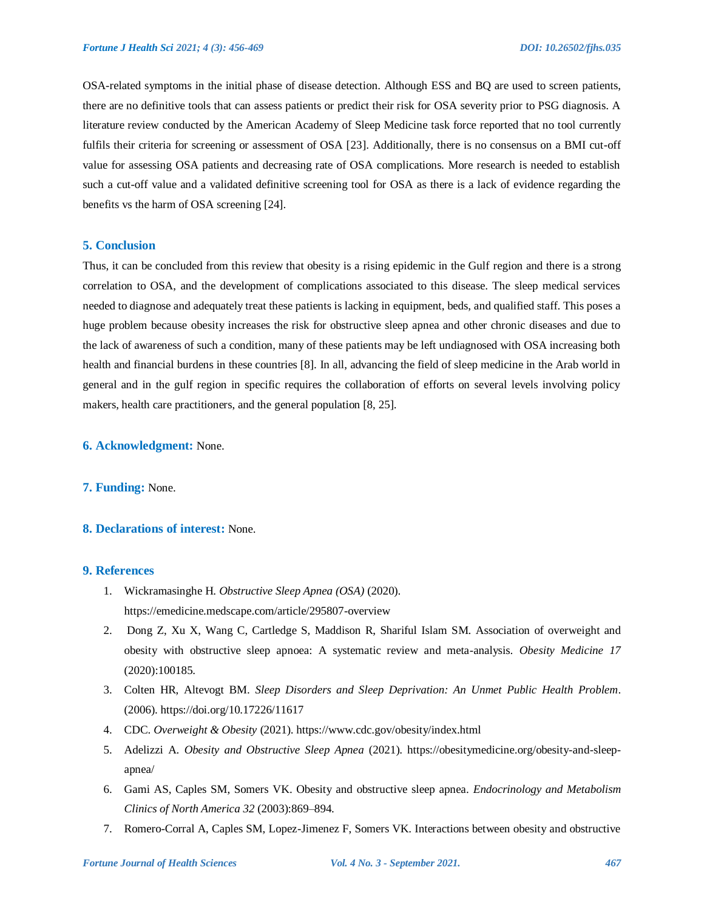OSA-related symptoms in the initial phase of disease detection. Although ESS and BQ are used to screen patients, there are no definitive tools that can assess patients or predict their risk for OSA severity prior to PSG diagnosis. A literature review conducted by the American Academy of Sleep Medicine task force reported that no tool currently fulfils their criteria for screening or assessment of OSA [23]. Additionally, there is no consensus on a BMI cut-off value for assessing OSA patients and decreasing rate of OSA complications. More research is needed to establish such a cut-off value and a validated definitive screening tool for OSA as there is a lack of evidence regarding the benefits vs the harm of OSA screening [24].

#### **5. Conclusion**

Thus, it can be concluded from this review that obesity is a rising epidemic in the Gulf region and there is a strong correlation to OSA, and the development of complications associated to this disease. The sleep medical services needed to diagnose and adequately treat these patients is lacking in equipment, beds, and qualified staff. This poses a huge problem because obesity increases the risk for obstructive sleep apnea and other chronic diseases and due to the lack of awareness of such a condition, many of these patients may be left undiagnosed with OSA increasing both health and financial burdens in these countries [8]. In all, advancing the field of sleep medicine in the Arab world in general and in the gulf region in specific requires the collaboration of efforts on several levels involving policy makers, health care practitioners, and the general population [8, 25].

#### **6. Acknowledgment:** None.

#### **7. Funding:** None.

## **8. Declarations of interest:** None.

#### **9. References**

- 1. Wickramasinghe H. *Obstructive Sleep Apnea (OSA)* (2020). https://emedicine.medscape.com/article/295807-overview
- 2. Dong Z, Xu X, Wang C, Cartledge S, Maddison R, Shariful Islam SM. Association of overweight and obesity with obstructive sleep apnoea: A systematic review and meta-analysis. *Obesity Medicine 17* (2020):100185.
- 3. Colten HR, Altevogt BM. *Sleep Disorders and Sleep Deprivation: An Unmet Public Health Problem*. (2006). https://doi.org/10.17226/11617
- 4. CDC. *Overweight & Obesity* (2021). https://www.cdc.gov/obesity/index.html
- 5. Adelizzi A. *Obesity and Obstructive Sleep Apnea* (2021). https://obesitymedicine.org/obesity-and-sleepapnea/
- 6. Gami AS, Caples SM, Somers VK. Obesity and obstructive sleep apnea. *Endocrinology and Metabolism Clinics of North America 32* (2003):869–894.
- 7. Romero-Corral A, Caples SM, Lopez-Jimenez F, Somers VK. Interactions between obesity and obstructive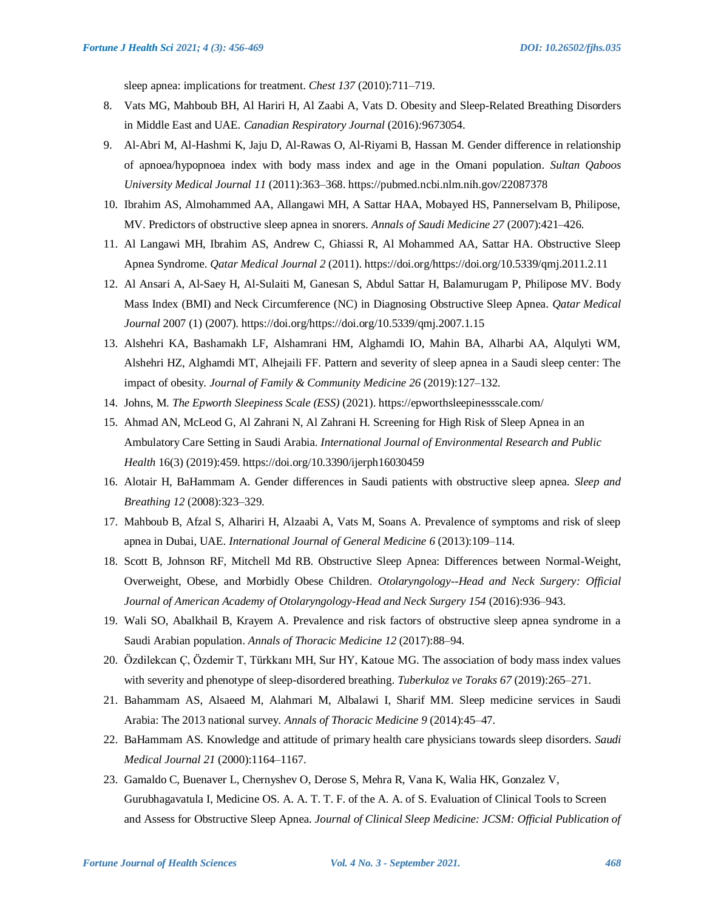sleep apnea: implications for treatment. *Chest 137* (2010):711–719.

- 8. Vats MG, Mahboub BH, Al Hariri H, Al Zaabi A, Vats D. Obesity and Sleep-Related Breathing Disorders in Middle East and UAE. *Canadian Respiratory Journal* (2016)*:*9673054.
- 9. Al-Abri M, Al-Hashmi K, Jaju D, Al-Rawas O, Al-Riyami B, Hassan M. Gender difference in relationship of apnoea/hypopnoea index with body mass index and age in the Omani population. *Sultan Qaboos University Medical Journal 11* (2011):363–368. https://pubmed.ncbi.nlm.nih.gov/22087378
- 10. Ibrahim AS, Almohammed AA, Allangawi MH, A Sattar HAA, Mobayed HS, Pannerselvam B, Philipose, MV. Predictors of obstructive sleep apnea in snorers. *Annals of Saudi Medicine 27* (2007):421–426.
- 11. Al Langawi MH, Ibrahim AS, Andrew C, Ghiassi R, Al Mohammed AA, Sattar HA. Obstructive Sleep Apnea Syndrome. *Qatar Medical Journal 2* (2011). https://doi.org/https://doi.org/10.5339/qmj.2011.2.11
- 12. Al Ansari A, Al-Saey H, Al-Sulaiti M, Ganesan S, Abdul Sattar H, Balamurugam P, Philipose MV. Body Mass Index (BMI) and Neck Circumference (NC) in Diagnosing Obstructive Sleep Apnea. *Qatar Medical Journal* 2007 (1) (2007). https://doi.org/https://doi.org/10.5339/qmj.2007.1.15
- 13. Alshehri KA, Bashamakh LF, Alshamrani HM, Alghamdi IO, Mahin BA, Alharbi AA, Alqulyti WM, Alshehri HZ, Alghamdi MT, Alhejaili FF. Pattern and severity of sleep apnea in a Saudi sleep center: The impact of obesity. *Journal of Family & Community Medicine 26* (2019):127–132.
- 14. Johns, M. *The Epworth Sleepiness Scale (ESS)* (2021). https://epworthsleepinessscale.com/
- 15. Ahmad AN, McLeod G, Al Zahrani N, Al Zahrani H. Screening for High Risk of Sleep Apnea in an Ambulatory Care Setting in Saudi Arabia. *International Journal of Environmental Research and Public Health* 16(3) (2019):459. https://doi.org/10.3390/ijerph16030459
- 16. Alotair H, BaHammam A. Gender differences in Saudi patients with obstructive sleep apnea. *Sleep and Breathing 12* (2008):323–329.
- 17. Mahboub B, Afzal S, Alhariri H, Alzaabi A, Vats M, Soans A. Prevalence of symptoms and risk of sleep apnea in Dubai, UAE. *International Journal of General Medicine 6* (2013):109–114.
- 18. Scott B, Johnson RF, Mitchell Md RB. Obstructive Sleep Apnea: Differences between Normal-Weight, Overweight, Obese, and Morbidly Obese Children. *Otolaryngology--Head and Neck Surgery: Official Journal of American Academy of Otolaryngology-Head and Neck Surgery 154* (2016):936–943.
- 19. Wali SO, Abalkhail B, Krayem A. Prevalence and risk factors of obstructive sleep apnea syndrome in a Saudi Arabian population. *Annals of Thoracic Medicine 12* (2017):88–94.
- 20. Özdilekcan Ç, Özdemir T, Türkkanı MH, Sur HY, Katoue MG. The association of body mass index values with severity and phenotype of sleep-disordered breathing. *Tuberkuloz ve Toraks 67* (2019):265–271.
- 21. Bahammam AS, Alsaeed M, Alahmari M, Albalawi I, Sharif MM. Sleep medicine services in Saudi Arabia: The 2013 national survey. *Annals of Thoracic Medicine 9* (2014):45–47.
- 22. BaHammam AS. Knowledge and attitude of primary health care physicians towards sleep disorders. *Saudi Medical Journal 21* (2000):1164–1167.
- 23. Gamaldo C, Buenaver L, Chernyshev O, Derose S, Mehra R, Vana K, Walia HK, Gonzalez V, Gurubhagavatula I, Medicine OS. A. A. T. T. F. of the A. A. of S. Evaluation of Clinical Tools to Screen and Assess for Obstructive Sleep Apnea. *Journal of Clinical Sleep Medicine: JCSM: Official Publication of*